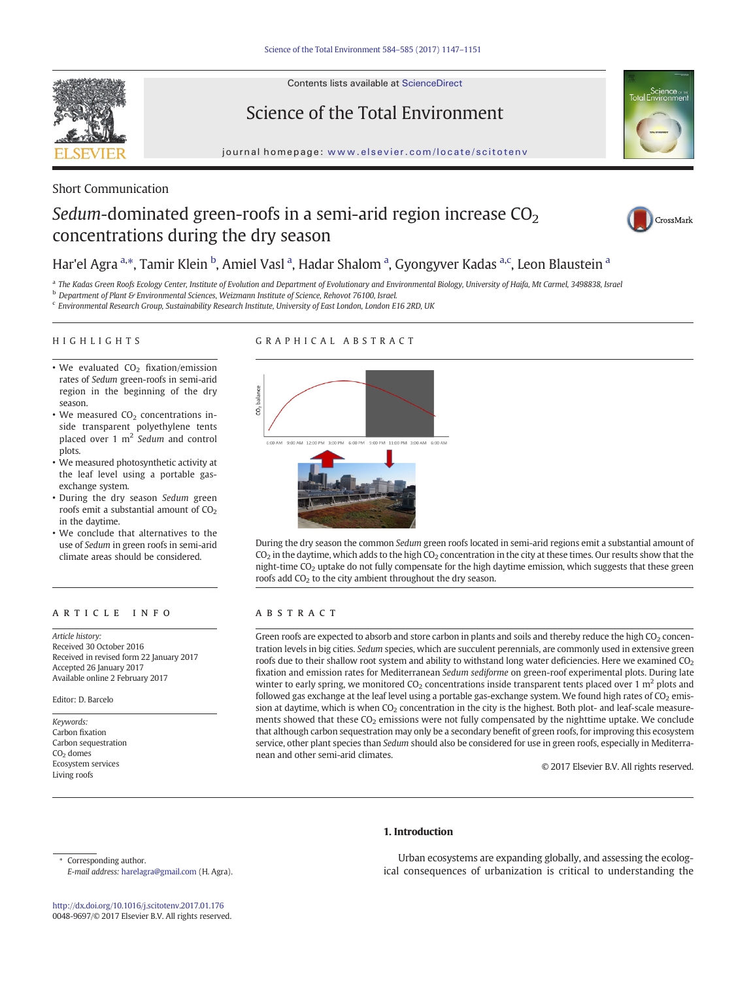Contents lists available at ScienceDirect



Science of the Total Environment



journal homepage: <www.elsevier.com/locate/scitotenv>

## Short Communication

# Sedum-dominated green-roofs in a semi-arid region increase  $CO<sub>2</sub>$ concentrations during the dry season



## Har'el Agra <sup>a,</sup>\*, Tamir Klein <sup>b</sup>, Amiel Vasl <sup>a</sup>, Hadar Shalom <sup>a</sup>, Gyongyver Kadas <sup>a,c</sup>, Leon Blaustein <sup>a</sup>

a The Kadas Green Roofs Ecology Center, Institute of Evolution and Department of Evolutionary and Environmental Biology, University of Haifa, Mt Carmel, 3498838, Israel

<sup>b</sup> Department of Plant & Environmental Sciences, Weizmann Institute of Science, Rehovot 76100, Israel.

<sup>c</sup> Environmental Research Group, Sustainability Research Institute, University of East London, London E16 2RD, UK

#### HIGHLIGHTS

### GRAPHICAL ABSTRACT

- We evaluated  $CO<sub>2</sub>$  fixation/emission rates of Sedum green-roofs in semi-arid region in the beginning of the dry season.
- We measured  $CO<sub>2</sub>$  concentrations inside transparent polyethylene tents placed over 1 m<sup>2</sup> Sedum and control plots.
- We measured photosynthetic activity at the leaf level using a portable gasexchange system.
- During the dry season Sedum green roofs emit a substantial amount of  $CO<sub>2</sub>$ in the daytime.
- We conclude that alternatives to the use of Sedum in green roofs in semi-arid climate areas should be considered.

#### article info abstract

Article history: Received 30 October 2016 Received in revised form 22 January 2017 Accepted 26 January 2017 Available online 2 February 2017

#### Editor: D. Barcelo

Keywords: Carbon fixation Carbon sequestration  $CO<sub>2</sub>$  domes Ecosystem services Living roofs





During the dry season the common Sedum green roofs located in semi-arid regions emit a substantial amount of  $CO<sub>2</sub>$  in the daytime, which adds to the high  $CO<sub>2</sub>$  concentration in the city at these times. Our results show that the night-time  $CO<sub>2</sub>$  uptake do not fully compensate for the high daytime emission, which suggests that these green roofs add CO<sub>2</sub> to the city ambient throughout the dry season.

Green roofs are expected to absorb and store carbon in plants and soils and thereby reduce the high  $CO<sub>2</sub>$  concentration levels in big cities. Sedum species, which are succulent perennials, are commonly used in extensive green roofs due to their shallow root system and ability to withstand long water deficiencies. Here we examined  $CO<sub>2</sub>$ fixation and emission rates for Mediterranean Sedum sediforme on green-roof experimental plots. During late winter to early spring, we monitored  $CO<sub>2</sub>$  concentrations inside transparent tents placed over 1 m<sup>2</sup> plots and followed gas exchange at the leaf level using a portable gas-exchange system. We found high rates of  $CO<sub>2</sub>$  emission at daytime, which is when CO<sub>2</sub> concentration in the city is the highest. Both plot- and leaf-scale measurements showed that these CO<sub>2</sub> emissions were not fully compensated by the nighttime uptake. We conclude that although carbon sequestration may only be a secondary benefit of green roofs, for improving this ecosystem service, other plant species than Sedum should also be considered for use in green roofs, especially in Mediterranean and other semi-arid climates.

© 2017 Elsevier B.V. All rights reserved.

#### 1. Introduction

Corresponding author. E-mail address: [harelagra@gmail.com](mailto:harelagra@gmail.com) (H. Agra).

<http://dx.doi.org/10.1016/j.scitotenv.2017.01.176> 0048-9697/© 2017 Elsevier B.V. All rights reserved.

Urban ecosystems are expanding globally, and assessing the ecological consequences of urbanization is critical to understanding the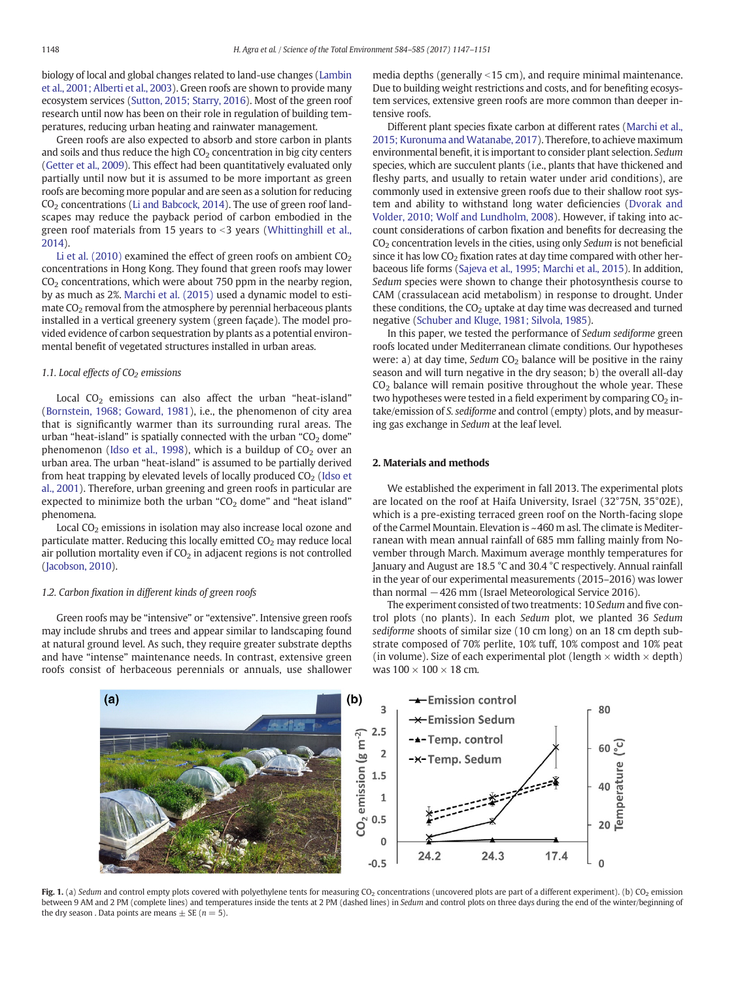<span id="page-1-0"></span>biology of local and global changes related to land-use changes [\(Lambin](#page-4-0) [et al., 2001; Alberti et al., 2003](#page-4-0)). Green roofs are shown to provide many ecosystem services [\(Sutton, 2015; Starry, 2016\)](#page-4-0). Most of the green roof research until now has been on their role in regulation of building temperatures, reducing urban heating and rainwater management.

Green roofs are also expected to absorb and store carbon in plants and soils and thus reduce the high  $CO<sub>2</sub>$  concentration in big city centers [\(Getter et al., 2009](#page-4-0)). This effect had been quantitatively evaluated only partially until now but it is assumed to be more important as green roofs are becoming more popular and are seen as a solution for reducing  $CO<sub>2</sub>$  concentrations [\(Li and Babcock, 2014\)](#page-4-0). The use of green roof landscapes may reduce the payback period of carbon embodied in the green roof materials from 15 years to  $<$ 3 years ([Whittinghill et al.,](#page-4-0) [2014\)](#page-4-0).

[Li et al. \(2010\)](#page-4-0) examined the effect of green roofs on ambient  $CO<sub>2</sub>$ concentrations in Hong Kong. They found that green roofs may lower  $CO<sub>2</sub>$  concentrations, which were about 750 ppm in the nearby region, by as much as 2%. [Marchi et al. \(2015\)](#page-4-0) used a dynamic model to estimate  $CO<sub>2</sub>$  removal from the atmosphere by perennial herbaceous plants installed in a vertical greenery system (green façade). The model provided evidence of carbon sequestration by plants as a potential environmental benefit of vegetated structures installed in urban areas.

#### 1.1. Local effects of  $CO<sub>2</sub>$  emissions

Local  $CO<sub>2</sub>$  emissions can also affect the urban "heat-island" [\(Bornstein, 1968; Goward, 1981\)](#page-4-0), i.e., the phenomenon of city area that is significantly warmer than its surrounding rural areas. The urban "heat-island" is spatially connected with the urban " $CO<sub>2</sub>$  dome" phenomenon [\(Idso et al., 1998\)](#page-4-0), which is a buildup of  $CO<sub>2</sub>$  over an urban area. The urban "heat-island" is assumed to be partially derived from heat trapping by elevated levels of locally produced  $CO<sub>2</sub>$  ([Idso et](#page-4-0) [al., 2001](#page-4-0)). Therefore, urban greening and green roofs in particular are expected to minimize both the urban " $CO<sub>2</sub>$  dome" and "heat island" phenomena.

Local  $CO<sub>2</sub>$  emissions in isolation may also increase local ozone and particulate matter. Reducing this locally emitted  $CO<sub>2</sub>$  may reduce local air pollution mortality even if  $CO<sub>2</sub>$  in adjacent regions is not controlled [\(Jacobson, 2010](#page-4-0)).

#### 1.2. Carbon fixation in different kinds of green roofs

Green roofs may be "intensive" or "extensive". Intensive green roofs may include shrubs and trees and appear similar to landscaping found at natural ground level. As such, they require greater substrate depths and have "intense" maintenance needs. In contrast, extensive green roofs consist of herbaceous perennials or annuals, use shallower media depths (generally  $\leq$ 15 cm), and require minimal maintenance. Due to building weight restrictions and costs, and for benefiting ecosystem services, extensive green roofs are more common than deeper intensive roofs.

Different plant species fixate carbon at different rates [\(Marchi et al.,](#page-4-0) [2015; Kuronuma and Watanabe, 2017\)](#page-4-0). Therefore, to achieve maximum environmental benefit, it is important to consider plant selection. Sedum species, which are succulent plants (i.e., plants that have thickened and fleshy parts, and usually to retain water under arid conditions), are commonly used in extensive green roofs due to their shallow root system and ability to withstand long water deficiencies [\(Dvorak and](#page-4-0) [Volder, 2010; Wolf and Lundholm, 2008](#page-4-0)). However, if taking into account considerations of carbon fixation and benefits for decreasing the  $CO<sub>2</sub>$  concentration levels in the cities, using only Sedum is not beneficial since it has low  $CO<sub>2</sub>$  fixation rates at day time compared with other herbaceous life forms ([Sajeva et al., 1995; Marchi et al., 2015](#page-4-0)). In addition, Sedum species were shown to change their photosynthesis course to CAM (crassulacean acid metabolism) in response to drought. Under these conditions, the  $CO<sub>2</sub>$  uptake at day time was decreased and turned negative [\(Schuber and Kluge, 1981; Silvola, 1985](#page-4-0)).

In this paper, we tested the performance of Sedum sediforme green roofs located under Mediterranean climate conditions. Our hypotheses were: a) at day time, Sedum  $CO<sub>2</sub>$  balance will be positive in the rainy season and will turn negative in the dry season; b) the overall all-day  $CO<sub>2</sub>$  balance will remain positive throughout the whole year. These two hypotheses were tested in a field experiment by comparing  $CO<sub>2</sub>$  intake/emission of S. sediforme and control (empty) plots, and by measuring gas exchange in Sedum at the leaf level.

#### 2. Materials and methods

We established the experiment in fall 2013. The experimental plots are located on the roof at Haifa University, Israel (32°75N, 35°02E), which is a pre-existing terraced green roof on the North-facing slope of the Carmel Mountain. Elevation is ~460 m asl. The climate is Mediterranean with mean annual rainfall of 685 mm falling mainly from November through March. Maximum average monthly temperatures for January and August are 18.5 °C and 30.4 °C respectively. Annual rainfall in the year of our experimental measurements (2015–2016) was lower than normal −426 mm (Israel Meteorological Service 2016).

The experiment consisted of two treatments: 10 Sedum and five control plots (no plants). In each Sedum plot, we planted 36 Sedum sediforme shoots of similar size (10 cm long) on an 18 cm depth substrate composed of 70% perlite, 10% tuff, 10% compost and 10% peat (in volume). Size of each experimental plot (length  $\times$  width  $\times$  depth) was  $100 \times 100 \times 18$  cm.



Fig. 1. (a) Sedum and control empty plots covered with polyethylene tents for measuring CO<sub>2</sub> concentrations (uncovered plots are part of a different experiment). (b) CO<sub>2</sub> emission between 9 AM and 2 PM (complete lines) and temperatures inside the tents at 2 PM (dashed lines) in Sedum and control plots on three days during the end of the winter/beginning of the dry season. Data points are means  $\pm$  SE ( $n = 5$ ).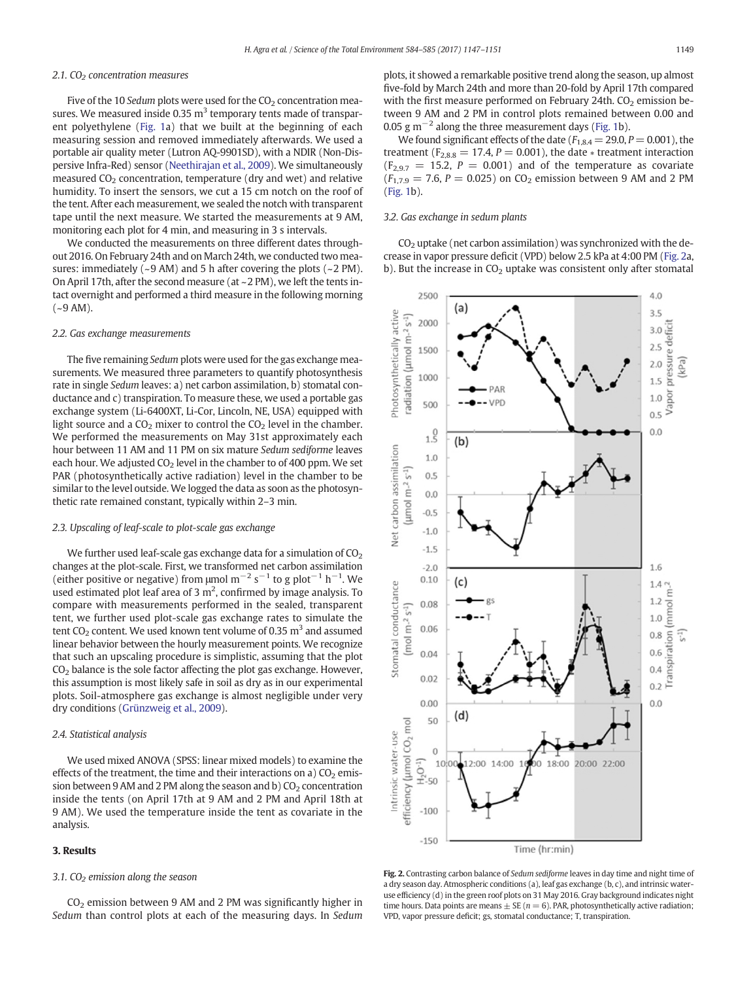#### <span id="page-2-0"></span>2.1.  $CO<sub>2</sub>$  concentration measures

Five of the 10 Sedum plots were used for the  $CO<sub>2</sub>$  concentration measures. We measured inside 0.35  $m<sup>3</sup>$  temporary tents made of transparent polyethylene [\(Fig. 1](#page-1-0)a) that we built at the beginning of each measuring session and removed immediately afterwards. We used a portable air quality meter (Lutron AQ-9901SD), with a NDIR (Non-Dispersive Infra-Red) sensor ([Neethirajan et al., 2009](#page-4-0)). We simultaneously measured  $CO<sub>2</sub>$  concentration, temperature (dry and wet) and relative humidity. To insert the sensors, we cut a 15 cm notch on the roof of the tent. After each measurement, we sealed the notch with transparent tape until the next measure. We started the measurements at 9 AM, monitoring each plot for 4 min, and measuring in 3 s intervals.

We conducted the measurements on three different dates throughout 2016. On February 24th and on March 24th, we conducted two measures: immediately  $(-9 \text{ AM})$  and 5 h after covering the plots  $(-2 \text{ PM})$ . On April 17th, after the second measure (at ~2 PM), we left the tents intact overnight and performed a third measure in the following morning  $(-9 \text{ AM})$ .

#### 2.2. Gas exchange measurements

The five remaining Sedum plots were used for the gas exchange measurements. We measured three parameters to quantify photosynthesis rate in single Sedum leaves: a) net carbon assimilation, b) stomatal conductance and c) transpiration. To measure these, we used a portable gas exchange system (Li-6400XT, Li-Cor, Lincoln, NE, USA) equipped with light source and a  $CO<sub>2</sub>$  mixer to control the  $CO<sub>2</sub>$  level in the chamber. We performed the measurements on May 31st approximately each hour between 11 AM and 11 PM on six mature Sedum sediforme leaves each hour. We adjusted  $CO<sub>2</sub>$  level in the chamber to of 400 ppm. We set PAR (photosynthetically active radiation) level in the chamber to be similar to the level outside. We logged the data as soon as the photosynthetic rate remained constant, typically within 2–3 min.

#### 2.3. Upscaling of leaf-scale to plot-scale gas exchange

We further used leaf-scale gas exchange data for a simulation of  $CO<sub>2</sub>$ changes at the plot-scale. First, we transformed net carbon assimilation (either positive or negative) from  $\mu$ mol m<sup>-2</sup> s<sup>-1</sup> to g plot<sup>-1</sup> h<sup>-1</sup>. We used estimated plot leaf area of 3  $m^2$ , confirmed by image analysis. To compare with measurements performed in the sealed, transparent tent, we further used plot-scale gas exchange rates to simulate the tent  $CO<sub>2</sub>$  content. We used known tent volume of 0.35 m<sup>3</sup> and assumed linear behavior between the hourly measurement points. We recognize that such an upscaling procedure is simplistic, assuming that the plot  $CO<sub>2</sub>$  balance is the sole factor affecting the plot gas exchange. However, this assumption is most likely safe in soil as dry as in our experimental plots. Soil-atmosphere gas exchange is almost negligible under very dry conditions [\(Grünzweig et al., 2009\)](#page-4-0).

#### 2.4. Statistical analysis

We used mixed ANOVA (SPSS: linear mixed models) to examine the effects of the treatment, the time and their interactions on a)  $CO<sub>2</sub>$  emission between 9 AM and 2 PM along the season and b)  $CO<sub>2</sub>$  concentration inside the tents (on April 17th at 9 AM and 2 PM and April 18th at 9 AM). We used the temperature inside the tent as covariate in the analysis.

#### 3. Results

#### 3.1.  $CO<sub>2</sub>$  emission along the season

 $CO<sub>2</sub>$  emission between 9 AM and 2 PM was significantly higher in Sedum than control plots at each of the measuring days. In Sedum plots, it showed a remarkable positive trend along the season, up almost five-fold by March 24th and more than 20-fold by April 17th compared with the first measure performed on February 24th.  $CO<sub>2</sub>$  emission between 9 AM and 2 PM in control plots remained between 0.00 and 0.05 g m<sup> $-2$ </sup> along the three measurement days [\(Fig. 1b](#page-1-0)).

We found significant effects of the date ( $F_{1,8,4} = 29.0$ ,  $P = 0.001$ ), the treatment ( $F_{2,8,8} = 17.4$ ,  $P = 0.001$ ), the date  $*$  treatment interaction  $(F_{2,9,7} = 15.2, P = 0.001)$  and of the temperature as covariate  $(F_{1,7.9} = 7.6, P = 0.025)$  on CO<sub>2</sub> emission between 9 AM and 2 PM [\(Fig. 1b](#page-1-0)).

#### 3.2. Gas exchange in sedum plants

 $CO<sub>2</sub>$  uptake (net carbon assimilation) was synchronized with the decrease in vapor pressure deficit (VPD) below 2.5 kPa at 4:00 PM (Fig. 2a, b). But the increase in  $CO<sub>2</sub>$  uptake was consistent only after stomatal



Fig. 2. Contrasting carbon balance of Sedum sediforme leaves in day time and night time of a dry season day. Atmospheric conditions (a), leaf gas exchange (b, c), and intrinsic wateruse efficiency (d) in the green roof plots on 31 May 2016. Gray background indicates night time hours. Data points are means  $\pm$  SE ( $n = 6$ ). PAR, photosynthetically active radiation; VPD, vapor pressure deficit; gs, stomatal conductance; T, transpiration.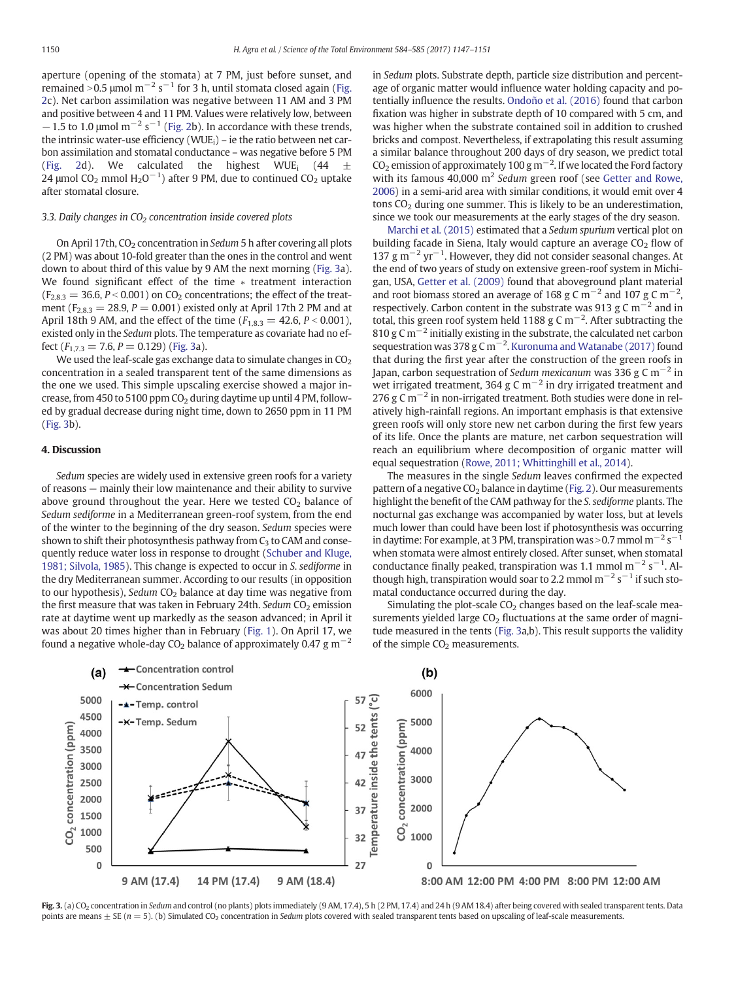aperture (opening of the stomata) at 7 PM, just before sunset, and remained >0.5 µmol m<sup>−2</sup> s<sup>−1</sup> for 3 h, until stomata closed again [\(Fig.](#page-2-0) [2](#page-2-0)c). Net carbon assimilation was negative between 11 AM and 3 PM and positive between 4 and 11 PM. Values were relatively low, between  $-1.5$  to 1.0 µmol m<sup>-2</sup> s<sup>-1</sup> [\(Fig. 2](#page-2-0)b). In accordance with these trends, the intrinsic water-use efficiency (WUE $_i$ ) – ie the ratio between net carbon assimilation and stomatal conductance – was negative before 5 PM [\(Fig. 2d](#page-2-0)). We calculated the highest WUE<sub>i</sub> (44  $\pm$ 24 μmol CO<sub>2</sub> mmol H<sub>2</sub>O<sup>-1</sup>) after 9 PM, due to continued CO<sub>2</sub> uptake after stomatal closure.

#### 3.3. Daily changes in  $CO<sub>2</sub>$  concentration inside covered plots

On April 17th,  $CO<sub>2</sub>$  concentration in Sedum 5 h after covering all plots (2 PM) was about 10-fold greater than the ones in the control and went down to about third of this value by 9 AM the next morning (Fig. 3a). We found significant effect of the time ∗ treatment interaction  $(F_{2,8,3} = 36.6, P < 0.001)$  on CO<sub>2</sub> concentrations; the effect of the treatment ( $F_{2,8,3} = 28.9, P = 0.001$ ) existed only at April 17th 2 PM and at April 18th 9 AM, and the effect of the time ( $F_{1,8,3} = 42.6, P < 0.001$ ), existed only in the Sedum plots. The temperature as covariate had no effect  $(F_{1,7,3} = 7.6, P = 0.129)$  (Fig. 3a).

We used the leaf-scale gas exchange data to simulate changes in  $CO<sub>2</sub>$ concentration in a sealed transparent tent of the same dimensions as the one we used. This simple upscaling exercise showed a major increase, from 450 to 5100 ppm  $CO<sub>2</sub>$  during daytime up until 4 PM, followed by gradual decrease during night time, down to 2650 ppm in 11 PM (Fig. 3b).

#### 4. Discussion

Sedum species are widely used in extensive green roofs for a variety of reasons — mainly their low maintenance and their ability to survive above ground throughout the year. Here we tested  $CO<sub>2</sub>$  balance of Sedum sediforme in a Mediterranean green-roof system, from the end of the winter to the beginning of the dry season. Sedum species were shown to shift their photosynthesis pathway from  $C_3$  to CAM and consequently reduce water loss in response to drought ([Schuber and Kluge,](#page-4-0) [1981; Silvola, 1985](#page-4-0)). This change is expected to occur in S. sediforme in the dry Mediterranean summer. According to our results (in opposition to our hypothesis), Sedum  $CO<sub>2</sub>$  balance at day time was negative from the first measure that was taken in February 24th. Sedum  $CO<sub>2</sub>$  emission rate at daytime went up markedly as the season advanced; in April it was about 20 times higher than in February [\(Fig. 1\)](#page-1-0). On April 17, we found a negative whole-day CO<sub>2</sub> balance of approximately 0.47 g m<sup>-2</sup> in Sedum plots. Substrate depth, particle size distribution and percentage of organic matter would influence water holding capacity and potentially influence the results. [Ondoño et al. \(2016\)](#page-4-0) found that carbon fixation was higher in substrate depth of 10 compared with 5 cm, and was higher when the substrate contained soil in addition to crushed bricks and compost. Nevertheless, if extrapolating this result assuming a similar balance throughout 200 days of dry season, we predict total CO<sub>2</sub> emission of approximately 100 g m<sup>-2</sup>. If we located the Ford factory with its famous 40,000  $m^2$  Sedum green roof (see [Getter and Rowe,](#page-4-0) [2006\)](#page-4-0) in a semi-arid area with similar conditions, it would emit over 4 tons  $CO<sub>2</sub>$  during one summer. This is likely to be an underestimation, since we took our measurements at the early stages of the dry season.

[Marchi et al. \(2015\)](#page-4-0) estimated that a Sedum spurium vertical plot on building facade in Siena, Italy would capture an average  $CO<sub>2</sub>$  flow of 137 g m−<sup>2</sup> yr−<sup>1</sup> . However, they did not consider seasonal changes. At the end of two years of study on extensive green-roof system in Michigan, USA, [Getter et al. \(2009\)](#page-4-0) found that aboveground plant material and root biomass stored an average of 168 g C m<sup>-2</sup> and 107 g C m<sup>-2</sup>, respectively. Carbon content in the substrate was 913 g C  $\rm m^{-2}$  and in total, this green roof system held 1188 g C m<sup>-2</sup>. After subtracting the 810 g C m<sup> $-2$ </sup> initially existing in the substrate, the calculated net carbon sequestration was 378 g C m<sup>-2</sup>. [Kuronuma and Watanabe \(2017\)](#page-4-0) found that during the first year after the construction of the green roofs in Japan, carbon sequestration of Sedum mexicanum was 336 g C m<sup>-2</sup> in wet irrigated treatment, 364 g C m<sup>-2</sup> in dry irrigated treatment and 276 g C m<sup> $-2$ </sup> in non-irrigated treatment. Both studies were done in relatively high-rainfall regions. An important emphasis is that extensive green roofs will only store new net carbon during the first few years of its life. Once the plants are mature, net carbon sequestration will reach an equilibrium where decomposition of organic matter will equal sequestration ([Rowe, 2011; Whittinghill et al., 2014](#page-4-0)).

The measures in the single Sedum leaves confirmed the expected pattern of a negative  $CO<sub>2</sub>$  balance in daytime ([Fig. 2\)](#page-2-0). Our measurements highlight the benefit of the CAM pathway for the S. sediforme plants. The nocturnal gas exchange was accompanied by water loss, but at levels much lower than could have been lost if photosynthesis was occurring in daytime: For example, at 3 PM, transpiration was > 0.7 mmol  $m^{-2}$  s<sup>-1</sup> when stomata were almost entirely closed. After sunset, when stomatal conductance finally peaked, transpiration was 1.1 mmol  $m^{-2}$  s<sup>-1</sup>. Although high, transpiration would soar to 2.2 mmol  $m^{-2}$  s<sup>-1</sup> if such stomatal conductance occurred during the day.

Simulating the plot-scale  $CO<sub>2</sub>$  changes based on the leaf-scale measurements yielded large  $CO<sub>2</sub>$  fluctuations at the same order of magnitude measured in the tents (Fig. 3a,b). This result supports the validity of the simple  $CO<sub>2</sub>$  measurements.



Fig. 3. (a) CO<sub>2</sub> concentration in Sedum and control (no plants) plots immediately (9 AM, 17.4), 5 h (2 PM, 17.4) and 24 h (9 AM 18.4) after being covered with sealed transparent tents. Data points are means  $\pm$  SE (n = 5). (b) Simulated CO<sub>2</sub> concentration in Sedum plots covered with sealed transparent tents based on upscaling of leaf-scale measurements.